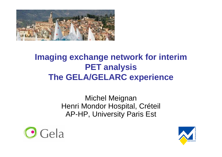

### **Imaging exchange network for interim PET analysisThe GELA/GELARC experience**

Michel Meignan Henri Mondor Hospital, CréteilAP-HP, University Paris Est



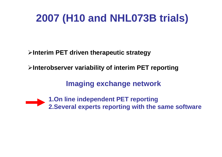# **2007 (H10 and NHL073B trials)**

**Interim PET driven therapeutic strategy**

**Interobserver variability of interim PET reporting**

**Imaging exchange network**

**1.On line independent PET reporting2.Several experts reporting with the same software**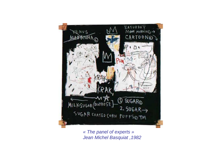

« The panel of experts »Jean Michel Basquiat ,1982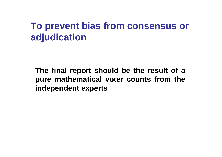## **To prevent bias from consensus or adjudication**

**The final report should be the result of a pure mathematical voter counts from the independent experts**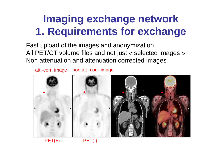# **Imaging exchange network 1. Requirements for exchange**

Fast upload of the images and anonymization All PET/CT volume files and not just « selected images »Non attenuation and attenuation corrected images

att.-corr. image non att.-corr. image



 $PET(+)$   $PET(-)$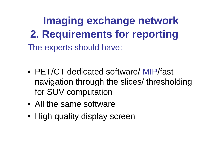**Imaging exchange network** The experts should have: **2. Requirements for reporting**

- PET/CT dedicated software/ MIP/fast navigation through the slices/ thresholding for SUV computation
- All the same software
- High quality display screen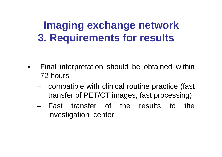## **Imaging exchange network 3. Requirements for results**

- $\bullet$  Final interpretation should be obtained within 72 hours
	- – compatible with clinical routine practice (fast transfer of PET/CT images, fast processing)
	- – Fast transfer of the results to the investigation center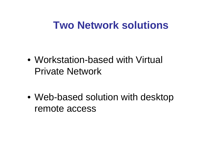# **Two Network solutions**

- Workstation-based with Virtual Private Network
- Web-based solution with desktop remote access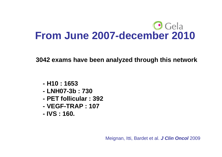# $\bigcirc$  Gela **From June 2007-december 2010**

**3042 exams have been analyzed through this network**

- **- H10 : 1653**
- **- LNH07-3b : 730**
- **- PET follicular : 392**
- **VEGE-TRAP · 107 VEGF-TRAP : 107**
- **- IVS : 160.**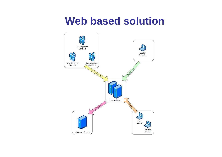## **Web based solution**

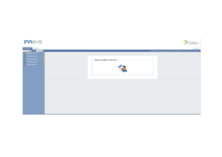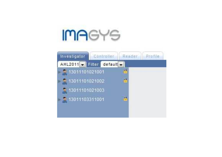

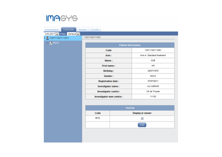#### **IMAGYS**

| Controller<br>Investigator     | Reader<br>Profile          |                           |  |  |
|--------------------------------|----------------------------|---------------------------|--|--|
| $AHL2011 - F$ Filter default - |                            |                           |  |  |
| 13011102111001                 | 13011102111001             |                           |  |  |
| $\blacktriangleright$ / PET2   | <b>Patient information</b> |                           |  |  |
|                                | Code                       | 13011102111001            |  |  |
|                                | Arm:                       | Arm A: Standard treatment |  |  |
|                                | Name:                      | <b>CUB</b>                |  |  |
|                                | First name:                | AN                        |  |  |
|                                | <b>Birthday:</b>           | 20/07/1970                |  |  |
|                                | Gender:                    | MALE                      |  |  |
|                                | <b>Registration date:</b>  | 07/07/2011                |  |  |
|                                | Investigator name:         | <b>ALI AMMAR</b>          |  |  |
|                                | Investigator centre:       | CH de Troyes              |  |  |
|                                | Investigator num centre:   | 11102                     |  |  |

| <b>Visit list</b> |                          |  |  |
|-------------------|--------------------------|--|--|
| Code              | <b>Display in viewer</b> |  |  |
| PET <sub>2</sub>  | J                        |  |  |
|                   | Add                      |  |  |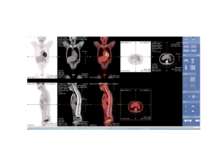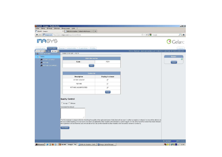| GELARC - Imagys - Mozilla Firefox                       |                                                                                                                                   |                   |                                                                                                                                                                  | $-10x$                             |
|---------------------------------------------------------|-----------------------------------------------------------------------------------------------------------------------------------|-------------------|------------------------------------------------------------------------------------------------------------------------------------------------------------------|------------------------------------|
| Fichier Édition Affichage Historique<br>GELARC - Imagys | Marque-pages Qutils ?<br>$\div$<br>$\mathbb X$<br>Boîte de réception - Outlook Web Access  X                                      |                   |                                                                                                                                                                  |                                    |
|                                                         | m imagys.com https://gelarc.imagys.com/imagys/content/home                                                                        |                   | $\uparrow$ $\uparrow$ $\uparrow$ $\uparrow$ $\uparrow$ $\uparrow$ Google                                                                                         | 月合                                 |
|                                                         |                                                                                                                                   |                   |                                                                                                                                                                  |                                    |
|                                                         |                                                                                                                                   |                   |                                                                                                                                                                  | $\bullet$ Gelarc                   |
| Controller<br>Investigator                              | Supervisor<br>Reader<br>Adjudicator<br>Profile                                                                                    |                   |                                                                                                                                                                  | Logout                             |
| LNH091B Filter default +                                | 11009101151001 PET4                                                                                                               |                   | RICCI Romain, last connection 2011/09/15 11:59 from IP 164:2:255:244                                                                                             |                                    |
| $-11009101151001$<br>$V$ / PET4                         |                                                                                                                                   |                   |                                                                                                                                                                  | <b>Basket</b>                      |
| CTTAP 3.0 eFoV                                          | <b>Visit information</b>                                                                                                          |                   |                                                                                                                                                                  | 国                                  |
| PETWE                                                   | Code:                                                                                                                             | PET4              |                                                                                                                                                                  | View                               |
| <b>C</b> PET WE UNCORREC.                               | Add                                                                                                                               |                   |                                                                                                                                                                  |                                    |
|                                                         |                                                                                                                                   |                   |                                                                                                                                                                  |                                    |
|                                                         | <b>Series list</b>                                                                                                                |                   |                                                                                                                                                                  |                                    |
|                                                         | <b>Description</b>                                                                                                                | Display in viewer |                                                                                                                                                                  |                                    |
|                                                         | CT TAP 3.0 eFoV                                                                                                                   | п                 |                                                                                                                                                                  |                                    |
|                                                         | PET WB                                                                                                                            |                   |                                                                                                                                                                  |                                    |
|                                                         |                                                                                                                                   | П                 |                                                                                                                                                                  |                                    |
|                                                         | PET WB UNCORRECTED                                                                                                                | $\Box$            |                                                                                                                                                                  |                                    |
|                                                         |                                                                                                                                   | Add               |                                                                                                                                                                  |                                    |
|                                                         |                                                                                                                                   |                   |                                                                                                                                                                  |                                    |
|                                                         | <b>Quality Control</b>                                                                                                            |                   |                                                                                                                                                                  |                                    |
|                                                         | C Accept C Refuse                                                                                                                 |                   |                                                                                                                                                                  |                                    |
|                                                         | Comment for refusal                                                                                                               |                   |                                                                                                                                                                  |                                    |
|                                                         |                                                                                                                                   |                   |                                                                                                                                                                  |                                    |
|                                                         |                                                                                                                                   |                   |                                                                                                                                                                  |                                    |
|                                                         | аb                                                                                                                                |                   |                                                                                                                                                                  |                                    |
|                                                         |                                                                                                                                   |                   | The first reviewer is responsible for checking the quality of the uploaded exam. Note that until an exam is either accepted or refused no one will be able to do |                                    |
|                                                         | the supervisor will be informed and will decide what to do (in the meantime other readers won't be able to review or control it). |                   | the associated reading. Once an exam has been accepted the other readers will not have to control it again. On the other hand if an exam has been refused        |                                    |
|                                                         | Validate                                                                                                                          |                   |                                                                                                                                                                  |                                    |
|                                                         |                                                                                                                                   |                   |                                                                                                                                                                  |                                    |
|                                                         |                                                                                                                                   |                   |                                                                                                                                                                  |                                    |
|                                                         |                                                                                                                                   |                   |                                                                                                                                                                  |                                    |
|                                                         |                                                                                                                                   |                   |                                                                                                                                                                  | © Copyright Kens<br>2011 - v1.6.12 |
|                                                         | Démarrer     8 1 0 3   GELARC - Imagys - Mo   Gi Boîte de réception - Outlo   C Imagys Upload Manager                             |                   |                                                                                                                                                                  | <b>HO + + 中 &gt; FR 4 12:34</b>    |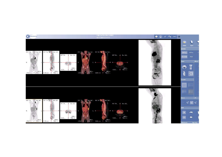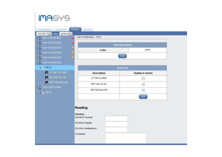#### **IMAGYS**

Investigator Controller Reader Profile AHL2011 - Filter default -

13011101061002 | PETO

 $\frac{1}{2}$  13011101091001 13011101171001

13011101221001

■ 13011101031001

13011101061001

13011101061002

 $\mathbf{v}$  / PETO

CT TAP 3.0 B30 PET TAP AC HD

PET TAP NAC HD

 $\frac{2}{3}$  13011102111001

 $\blacksquare$  PETO

| <b>Visit information</b><br><b>CONTRACTOR</b> |                  |
|-----------------------------------------------|------------------|
| Code:                                         | PET <sub>0</sub> |
|                                               | $-222$           |

| Series list    |                   |  |
|----------------|-------------------|--|
| Description    | Display in viewer |  |
| CT TAP 3.0 B30 |                   |  |
| PET TAP AC HD  |                   |  |
| PET TAP NAC HD |                   |  |
|                | Add               |  |

#### Reading

| Reading            |  |  |
|--------------------|--|--|
| SUVMAX Tumoral     |  |  |
| SUVMAX Hepatic     |  |  |
| SUVMAX Mediastinum |  |  |
| Comments           |  |  |
|                    |  |  |
|                    |  |  |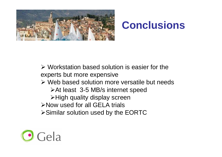

## **Conclusions**

> Workstation based solution is easier for the experts but more expensive

- $\triangleright$  Web based solution more versatile but needs
	- At least 3-5 MB/s internet speed
	- **≻High quality display screen**
- >Now used for all GELA trials<br>Noimilar colution used by the
- Similar solution used by the EORTC